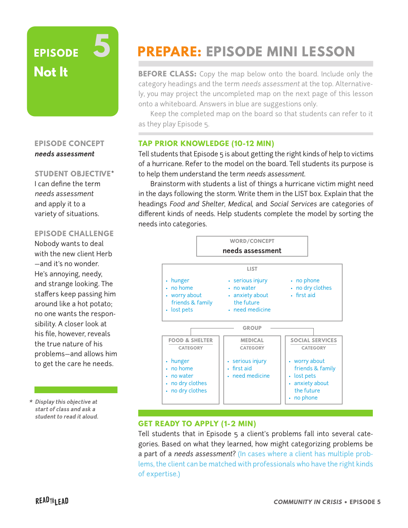# **EPISODE Not It 5**

### **EPISODE CONCEPT needs assessment**

#### **STUDENT OBJECTIVE\***

I can define the term needs assessment and apply it to a variety of situations.

#### **EPISODE CHALLENGE**

Nobody wants to deal with the new client Herb —and it's no wonder. He's annoying, needy, and strange looking. The staffers keep passing him around like a hot potato; no one wants the responsibility. A closer look at his file, however, reveals the true nature of his problems—and allows him to get the care he needs.

**\* Display this objective at start of class and ask a student to read it aloud.**

# **PREPARE: EPISODE MINI LESSON**

**BEFORE CLASS:** Copy the map below onto the board. Include only the category headings and the term needs assessment at the top. Alternatively, you may project the uncompleted map on the next page of this lesson onto a whiteboard. Answers in blue are suggestions only.

Keep the completed map on the board so that students can refer to it as they play Episode 5.

# **TAP PRIOR KNOWLEDGE (10-12 MIN)**

Tell students that Episode 5 is about getting the right kinds of help to victims of a hurricane. Refer to the model on the board. Tell students its purpose is to help them understand the term needs assessment.

Brainstorm with students a list of things a hurricane victim might need in the days following the storm. Write them in the LIST box. Explain that the headings Food and Shelter, Medical, and Social Services are categories of different kinds of needs. Help students complete the model by sorting the needs into categories.



## **GET READY TO APPLY (1-2 MIN)**

Tell students that in Episode 5 a client's problems fall into several categories. Based on what they learned, how might categorizing problems be a part of a needs assessment? (In cases where a client has multiple problems, the client can be matched with professionals who have the right kinds of expertise.)